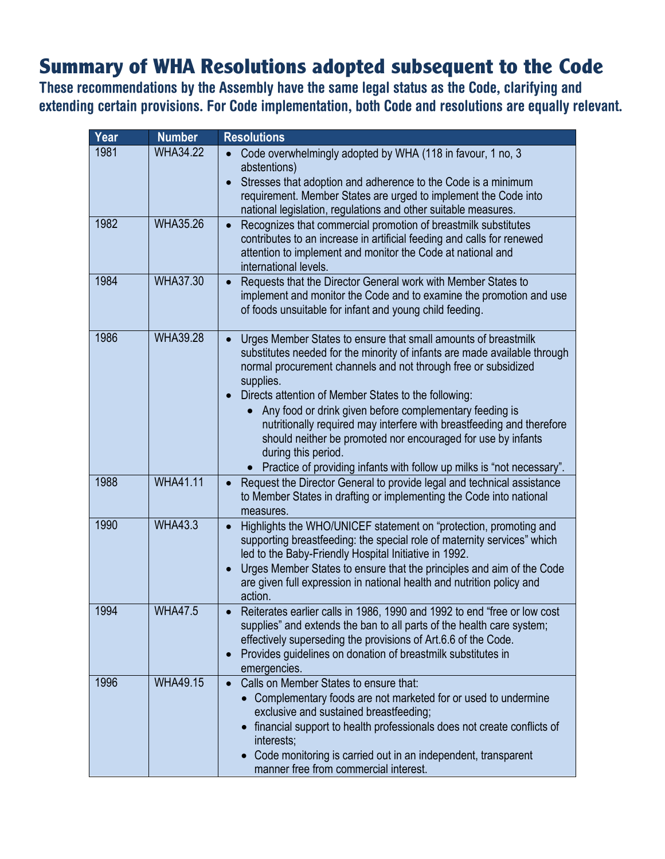## **Summary of WHA Resolutions adopted subsequent to the Code**

**These recommendations by the Assembly have the same legal status as the Code, clarifying and extending certain provisions. For Code implementation, both Code and resolutions are equally relevant.**

| Year | <b>Number</b>   | <b>Resolutions</b>                                                                                                                                                                                                                                                                                                                                                                                                                                                                                                                                                                                                |
|------|-----------------|-------------------------------------------------------------------------------------------------------------------------------------------------------------------------------------------------------------------------------------------------------------------------------------------------------------------------------------------------------------------------------------------------------------------------------------------------------------------------------------------------------------------------------------------------------------------------------------------------------------------|
| 1981 | <b>WHA34.22</b> | Code overwhelmingly adopted by WHA (118 in favour, 1 no, 3<br>abstentions)<br>Stresses that adoption and adherence to the Code is a minimum<br>$\bullet$<br>requirement. Member States are urged to implement the Code into<br>national legislation, regulations and other suitable measures.                                                                                                                                                                                                                                                                                                                     |
| 1982 | <b>WHA35.26</b> | Recognizes that commercial promotion of breastmilk substitutes<br>$\bullet$<br>contributes to an increase in artificial feeding and calls for renewed<br>attention to implement and monitor the Code at national and<br>international levels.                                                                                                                                                                                                                                                                                                                                                                     |
| 1984 | <b>WHA37.30</b> | Requests that the Director General work with Member States to<br>$\bullet$<br>implement and monitor the Code and to examine the promotion and use<br>of foods unsuitable for infant and young child feeding.                                                                                                                                                                                                                                                                                                                                                                                                      |
| 1986 | <b>WHA39.28</b> | Urges Member States to ensure that small amounts of breastmilk<br>$\bullet$<br>substitutes needed for the minority of infants are made available through<br>normal procurement channels and not through free or subsidized<br>supplies.<br>Directs attention of Member States to the following:<br>$\bullet$<br>Any food or drink given before complementary feeding is<br>nutritionally required may interfere with breastfeeding and therefore<br>should neither be promoted nor encouraged for use by infants<br>during this period.<br>Practice of providing infants with follow up milks is "not necessary". |
| 1988 | <b>WHA41.11</b> | Request the Director General to provide legal and technical assistance<br>$\bullet$<br>to Member States in drafting or implementing the Code into national<br>measures.                                                                                                                                                                                                                                                                                                                                                                                                                                           |
| 1990 | <b>WHA43.3</b>  | Highlights the WHO/UNICEF statement on "protection, promoting and<br>$\bullet$<br>supporting breastfeeding: the special role of maternity services" which<br>led to the Baby-Friendly Hospital Initiative in 1992.<br>Urges Member States to ensure that the principles and aim of the Code<br>$\bullet$<br>are given full expression in national health and nutrition policy and<br>action.                                                                                                                                                                                                                      |
| 1994 | <b>WHA47.5</b>  | Reiterates earlier calls in 1986, 1990 and 1992 to end "free or low cost<br>supplies" and extends the ban to all parts of the health care system;<br>effectively superseding the provisions of Art.6.6 of the Code.<br>Provides guidelines on donation of breastmilk substitutes in<br>$\bullet$<br>emergencies.                                                                                                                                                                                                                                                                                                  |
| 1996 | <b>WHA49.15</b> | Calls on Member States to ensure that:<br>$\bullet$<br>Complementary foods are not marketed for or used to undermine<br>exclusive and sustained breastfeeding;<br>financial support to health professionals does not create conflicts of<br>interests;<br>Code monitoring is carried out in an independent, transparent<br>manner free from commercial interest.                                                                                                                                                                                                                                                  |